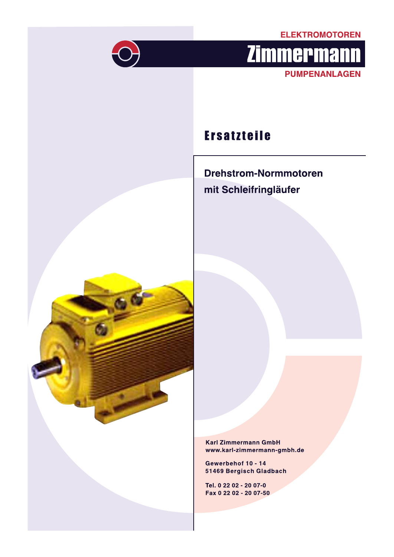### **ELEKTROMOTOREN**



# **Zimmermann PUMPENANLAGEN**

## **Ersatzteile**

**Drehstrom-Normmotoren** mit Schleifringläufer



**Karl Zimmermann GmbH** www.karl-zimmermann-gmbh.de

Gewerbehof 10 - 14 51469 Bergisch Gladbach

Tel. 0 22 02 - 20 07-0 Fax 0 22 02 - 20 07-50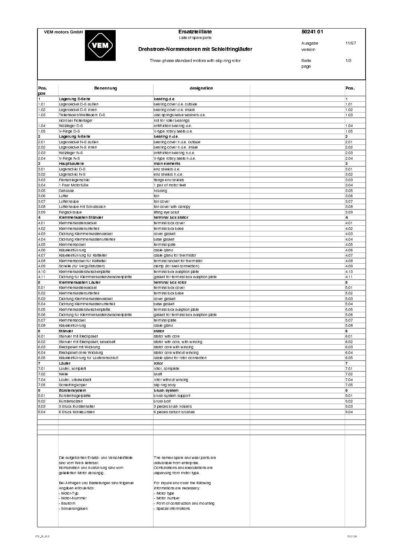

#### VEM motors GmbH **4abra 20241 01**<br> **Ersatzteilliste** 4abra 20241 01 Ersatzteilliste<br>Liste of spare parts

#### **Drehstrom-Normmotoren mit Schleifringläufer Allemanus and The Funds** version

Ausgabe 11/97

DXbUU`XQcU cdQ^TQbT ]\_d\_bc gYdX c\Y`bY^W b\_d\_b CUYdU !# page

| Pos.<br>pos                     | Benennung                                    | designation                                                        | Pos.                    |
|---------------------------------|----------------------------------------------|--------------------------------------------------------------------|-------------------------|
|                                 | Lagerung D Seite                             | bearing d.e.                                                       | 1                       |
| 1.01                            | Lager deckel D-S außen                       | bearing cover d.e. outside                                         | $\mathsf{I}_{1.01}$     |
| .02                             | Lager deckel D-S innen                       | bearing cover d.e. inside                                          | 1.02                    |
| .03                             | Tellerfedern/Wellfedern D-S                  | disc springs/wave washers d.e.                                     | 1.03                    |
|                                 | nicht bei Rollenlager                        | not for roller bearings                                            |                         |
| $\overline{0}$ . $\overline{0}$ | Wälzlager D-S                                | antifriction bearing d.e.                                          | 1.04                    |
| .05                             | V-Ringe D-S                                  | V-type rotary seals d.e.                                           | 1.05                    |
| 2                               | Lagerung N Seite                             | bearing n.d.e.                                                     | $\overline{\mathbf{2}}$ |
| 2.01                            | Lagerdeckel N-S außen                        | bearing cover n.d.e. outside                                       | 2.01                    |
| 2.02                            | Lager deckel N-S innen                       | bearing cover n.d.e. inside                                        | 2.02                    |
| 2.03                            | Wälzlager N-S                                | antifriction bearing n.d.e.                                        | 2.03                    |
| 2.04                            | V-Ringe N-S                                  | V-type rotary seals n.d.e.                                         | 2.04                    |
| 3                               | Hauptbauteile                                | main elements                                                      | 3                       |
| 3.01                            | Lager schild D-S                             | end shields d.e.                                                   | 3.01                    |
| 3.02                            | Lager schild N-S                             | end shields n.d.e.                                                 | 3.02                    |
| 3.03                            | Flanschlagerschild                           | flange end shields                                                 | 3.03                    |
| 3.04                            | 1 Paar Motorfüße                             | 1 pair of motor feet                                               | 3.04                    |
| 3.05                            | Gehäuse                                      | housing                                                            | 3.05                    |
| 3.06                            | Lüfter                                       | fan                                                                | 3.06                    |
| 3.07                            | Lüfterhaube                                  | fan cover                                                          | 3.07                    |
| 3.08                            |                                              |                                                                    | 3.08                    |
|                                 | Lüfterhaube mit Schutzdach                   | fan cover with canopy                                              |                         |
| 3.09                            | Ringschraube                                 | lifting eye boldt                                                  | 3.09                    |
| 4                               | Klemmenkasten Ständer                        | terminal box stator                                                | 4                       |
| 4.01                            | Klemmenkastendeckel                          | terminal box cover                                                 | 4.01                    |
| 4.02                            | Klemmenkastenunterteil                       | terminal box base                                                  | 4.02                    |
| 4.03                            | Dichtung Klemmenkastendeckel                 | cover gasket                                                       | 4.03                    |
| 4.04                            | Dichtung Klemmenkastenunterteil              | base gasket                                                        | 4.04                    |
| 4.05                            | Klemmensockel                                | terminal pate                                                      | 4.05                    |
| 4.06                            | Kabeleinführung                              | cable qland                                                        | 4.06                    |
| 4.07                            | Kabeleinführung für Kaltleiter               | cable gland for thermistor                                         | 4.07                    |
| 4.08                            | Klemmensockel für Kaltleiter                 | terminal socket for thermistor                                     | 4.08                    |
| 4.09                            | Schelle (für Vergußstutzen)                  | clamp (for seal connection)                                        | 4.09                    |
| 4.10                            | Klemmenkastenzwischenplatte                  | terminal box adaption plate                                        | 4.10                    |
| 4.11                            | Dichtung für Klemmenkastenzwischenplatte     | gasket for terminal box adaption plate                             | 4.11                    |
| 5                               | Klemmenkasten Läufer                         | terminal box rotor                                                 | 5                       |
| 5.01                            | Klemmenkastendeckel                          | terminal box cover                                                 | 5.01                    |
| 5.02                            | Klemmenkastenunterteil                       | terminal box base                                                  | 5.02                    |
| 5.03                            | Dichtung Klemmenkastendeckel                 | cover gasket                                                       | 5.03                    |
| 5.04                            | Dichtung Klemmenkastenunterteil              | base gasket                                                        | 5.04                    |
| 5.05                            | Klemmenkastenzwischenplatte                  | terminal box adaption plate                                        | 5.05                    |
| 5.06                            | Dichtung für Klemmenkastenzwischenplatte     | gasket for terminal box adaption plate                             | 5.06                    |
| 5.07                            | Klemmensockel                                | terminal plate                                                     | 5.07                    |
| 5.08                            | Kabeleinführung                              | cable gland                                                        | 5.08                    |
| 6                               | Ständer                                      | stator                                                             | 6                       |
| 6.01                            | Ständer mit Blechpaket                       | stator with core                                                   | 6.01                    |
| 6.02                            | Ständer mit Blechpaket, bewickelt            | stator with core, with winding                                     | 6.02                    |
| 6.03                            | Blechpaket mit Wicklung                      | stator core with winding                                           | 6.03                    |
| 6.04                            | Blechpaket ohne Wicklung                     | stator core without winding                                        | 6.04                    |
| 6.05                            | Kabeleinführung für Läuferanschluß           | cable gland for rotor connection                                   | 6.05                    |
| 17                              | Läufer                                       | rotor                                                              | 7                       |
| 7.01                            | Läufer, komplett                             | rotor, complete                                                    | 7.01                    |
|                                 |                                              |                                                                    |                         |
| 7.02                            | Welle<br>Läufer, unbewickelt                 | shaft<br>rotor without winding                                     | 7.02                    |
| 7.04                            |                                              |                                                                    | 7.04                    |
| 7.05                            | Schleifringkörper                            | slip ring body                                                     | 7.05                    |
| 9                               | Bürstensystem                                | brush system                                                       | 9                       |
| 9.01                            | Bürstenträgerplatte                          | brush system support                                               | 9.01                    |
| 9.02                            | Bürstenbolzen                                | brush bolt                                                         | 9.02                    |
| 9.03                            | 3 Stück Bürstenhalter                        | 3 pieces brush holders                                             | 9.03                    |
| 9.04                            | 6 Stück Kohlebürsten                         | 6 pieces carbon brushes                                            | 9.04                    |
|                                 |                                              |                                                                    |                         |
|                                 |                                              |                                                                    |                         |
|                                 |                                              |                                                                    |                         |
|                                 |                                              |                                                                    |                         |
|                                 |                                              |                                                                    |                         |
|                                 |                                              |                                                                    |                         |
|                                 |                                              |                                                                    |                         |
|                                 | Die aufgeführten Ersatz- und Verschleißteile |                                                                    |                         |
|                                 | sind vom Werk lieferbar.                     | The named spare and wear parts are<br>delivarable from enterprise. |                         |
|                                 | Kombination und Ausführung sind vom          | Combinations and executations are                                  |                         |
|                                 | gelieferten Motor abhängig.                  | depending from motor type.                                         |                         |
|                                 |                                              |                                                                    |                         |
|                                 | Bei Anfragen und Bestellungen sind folgende  | For inquire and order the following                                |                         |
|                                 | Angaben erforderlich:                        | informations are necessary:                                        |                         |
|                                 | Motor Typ                                    | Motor type                                                         |                         |
|                                 | Motor-Nummer                                 | Motor number                                                       |                         |
|                                 | Bauform                                      | Form of construction and mounting                                  |                         |
|                                 | Sonderangaben                                | Special informations                                               |                         |
|                                 |                                              |                                                                    |                         |
|                                 |                                              |                                                                    |                         |
|                                 |                                              |                                                                    |                         |
|                                 |                                              |                                                                    |                         |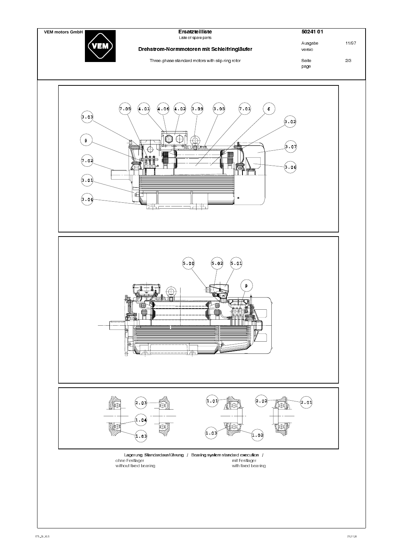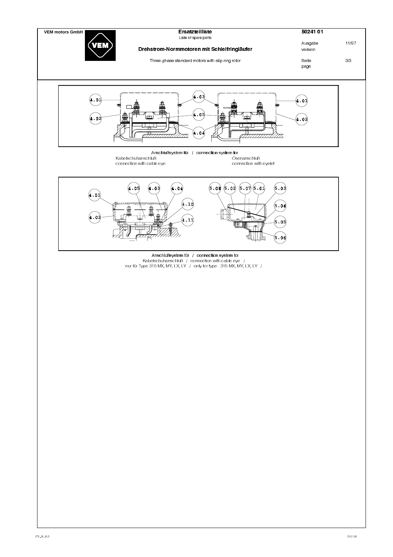